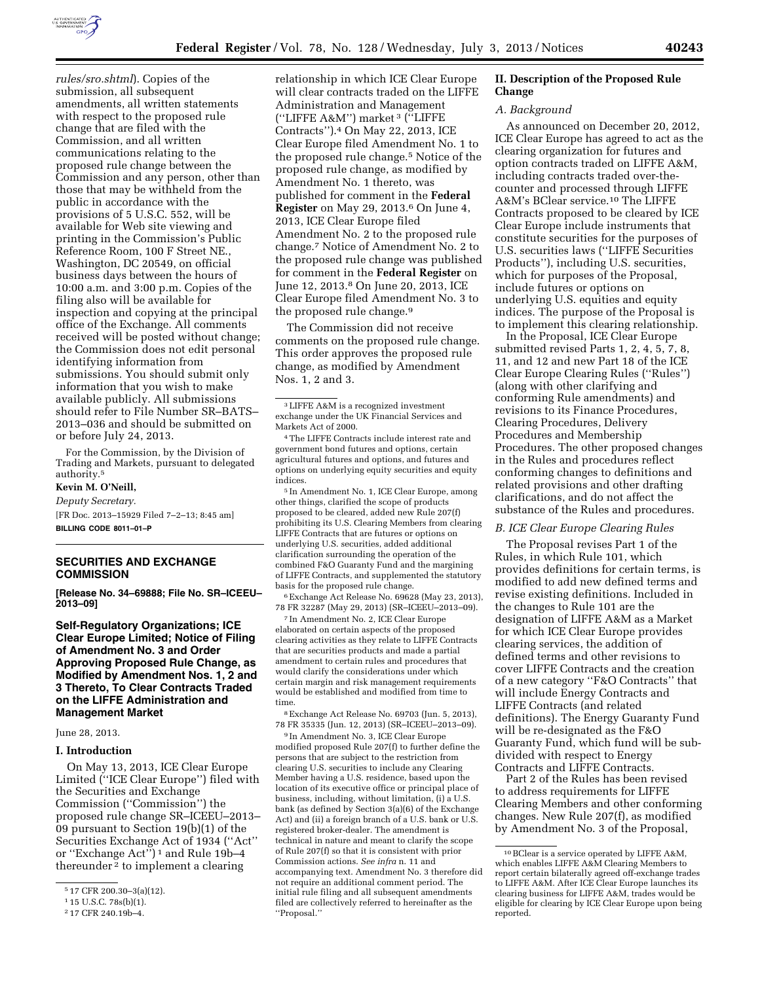

*rules/sro.shtml*). Copies of the submission, all subsequent amendments, all written statements with respect to the proposed rule change that are filed with the Commission, and all written communications relating to the proposed rule change between the Commission and any person, other than those that may be withheld from the public in accordance with the provisions of 5 U.S.C. 552, will be available for Web site viewing and printing in the Commission's Public Reference Room, 100 F Street NE., Washington, DC 20549, on official business days between the hours of 10:00 a.m. and 3:00 p.m. Copies of the filing also will be available for inspection and copying at the principal office of the Exchange. All comments received will be posted without change; the Commission does not edit personal identifying information from submissions. You should submit only information that you wish to make available publicly. All submissions should refer to File Number SR–BATS– 2013–036 and should be submitted on or before July 24, 2013.

For the Commission, by the Division of Trading and Markets, pursuant to delegated authority.5

#### **Kevin M. O'Neill,**

*Deputy Secretary.*  [FR Doc. 2013–15929 Filed 7–2–13; 8:45 am]

**BILLING CODE 8011–01–P** 

# **SECURITIES AND EXCHANGE COMMISSION**

**[Release No. 34–69888; File No. SR–ICEEU– 2013–09]** 

**Self-Regulatory Organizations; ICE Clear Europe Limited; Notice of Filing of Amendment No. 3 and Order Approving Proposed Rule Change, as Modified by Amendment Nos. 1, 2 and 3 Thereto, To Clear Contracts Traded on the LIFFE Administration and Management Market** 

June 28, 2013.

#### **I. Introduction**

On May 13, 2013, ICE Clear Europe Limited (''ICE Clear Europe'') filed with the Securities and Exchange Commission (''Commission'') the proposed rule change SR–ICEEU–2013– 09 pursuant to Section 19(b)(1) of the Securities Exchange Act of 1934 (''Act'' or ''Exchange Act'') 1 and Rule 19b–4 thereunder<sup>2</sup> to implement a clearing

relationship in which ICE Clear Europe will clear contracts traded on the LIFFE Administration and Management (''LIFFE A&M'') market 3 (''LIFFE Contracts'').4 On May 22, 2013, ICE Clear Europe filed Amendment No. 1 to the proposed rule change.5 Notice of the proposed rule change, as modified by Amendment No. 1 thereto, was published for comment in the **Federal Register** on May 29, 2013.6 On June 4, 2013, ICE Clear Europe filed Amendment No. 2 to the proposed rule change.7 Notice of Amendment No. 2 to the proposed rule change was published for comment in the **Federal Register** on June 12, 2013.8 On June 20, 2013, ICE Clear Europe filed Amendment No. 3 to the proposed rule change.9

The Commission did not receive comments on the proposed rule change. This order approves the proposed rule change, as modified by Amendment Nos. 1, 2 and 3.

3LIFFE A&M is a recognized investment exchange under the UK Financial Services and Markets Act of 2000.

4The LIFFE Contracts include interest rate and government bond futures and options, certain agricultural futures and options, and futures and options on underlying equity securities and equity indices.

5 In Amendment No. 1, ICE Clear Europe, among other things, clarified the scope of products proposed to be cleared, added new Rule 207(f) prohibiting its U.S. Clearing Members from clearing LIFFE Contracts that are futures or options on underlying U.S. securities, added additional clarification surrounding the operation of the combined F&O Guaranty Fund and the margining of LIFFE Contracts, and supplemented the statutory basis for the proposed rule change.

6Exchange Act Release No. 69628 (May 23, 2013), 78 FR 32287 (May 29, 2013) (SR–ICEEU–2013–09).

7 In Amendment No. 2, ICE Clear Europe elaborated on certain aspects of the proposed clearing activities as they relate to LIFFE Contracts that are securities products and made a partial amendment to certain rules and procedures that would clarify the considerations under which certain margin and risk management requirements would be established and modified from time to time.

8Exchange Act Release No. 69703 (Jun. 5, 2013), 78 FR 35335 (Jun. 12, 2013) (SR–ICEEU–2013–09).

9 In Amendment No. 3, ICE Clear Europe modified proposed Rule 207(f) to further define the persons that are subject to the restriction from clearing U.S. securities to include any Clearing Member having a U.S. residence, based upon the location of its executive office or principal place of business, including, without limitation, (i) a U.S. bank (as defined by Section 3(a)(6) of the Exchange Act) and (ii) a foreign branch of a U.S. bank or U.S. registered broker-dealer. The amendment is technical in nature and meant to clarify the scope of Rule 207(f) so that it is consistent with prior Commission actions. *See infra* n. 11 and accompanying text. Amendment No. 3 therefore did not require an additional comment period. The initial rule filing and all subsequent amendments filed are collectively referred to hereinafter as the ''Proposal.''

## **II. Description of the Proposed Rule Change**

#### *A. Background*

As announced on December 20, 2012, ICE Clear Europe has agreed to act as the clearing organization for futures and option contracts traded on LIFFE A&M, including contracts traded over-thecounter and processed through LIFFE A&M's BClear service.10 The LIFFE Contracts proposed to be cleared by ICE Clear Europe include instruments that constitute securities for the purposes of U.S. securities laws (''LIFFE Securities Products''), including U.S. securities, which for purposes of the Proposal, include futures or options on underlying U.S. equities and equity indices. The purpose of the Proposal is to implement this clearing relationship.

In the Proposal, ICE Clear Europe submitted revised Parts 1, 2, 4, 5, 7, 8, 11, and 12 and new Part 18 of the ICE Clear Europe Clearing Rules (''Rules'') (along with other clarifying and conforming Rule amendments) and revisions to its Finance Procedures, Clearing Procedures, Delivery Procedures and Membership Procedures. The other proposed changes in the Rules and procedures reflect conforming changes to definitions and related provisions and other drafting clarifications, and do not affect the substance of the Rules and procedures.

#### *B. ICE Clear Europe Clearing Rules*

The Proposal revises Part 1 of the Rules, in which Rule 101, which provides definitions for certain terms, is modified to add new defined terms and revise existing definitions. Included in the changes to Rule 101 are the designation of LIFFE A&M as a Market for which ICE Clear Europe provides clearing services, the addition of defined terms and other revisions to cover LIFFE Contracts and the creation of a new category ''F&O Contracts'' that will include Energy Contracts and LIFFE Contracts (and related definitions). The Energy Guaranty Fund will be re-designated as the F&O Guaranty Fund, which fund will be subdivided with respect to Energy Contracts and LIFFE Contracts.

Part 2 of the Rules has been revised to address requirements for LIFFE Clearing Members and other conforming changes. New Rule 207(f), as modified by Amendment No. 3 of the Proposal,

<sup>5</sup> 17 CFR 200.30–3(a)(12).

<sup>1</sup> 15 U.S.C. 78s(b)(1).

<sup>2</sup> 17 CFR 240.19b–4.

<sup>10</sup>BClear is a service operated by LIFFE A&M, which enables LIFFE A&M Clearing Members to report certain bilaterally agreed off-exchange trades to LIFFE A&M. After ICE Clear Europe launches its clearing business for LIFFE A&M, trades would be eligible for clearing by ICE Clear Europe upon being reported.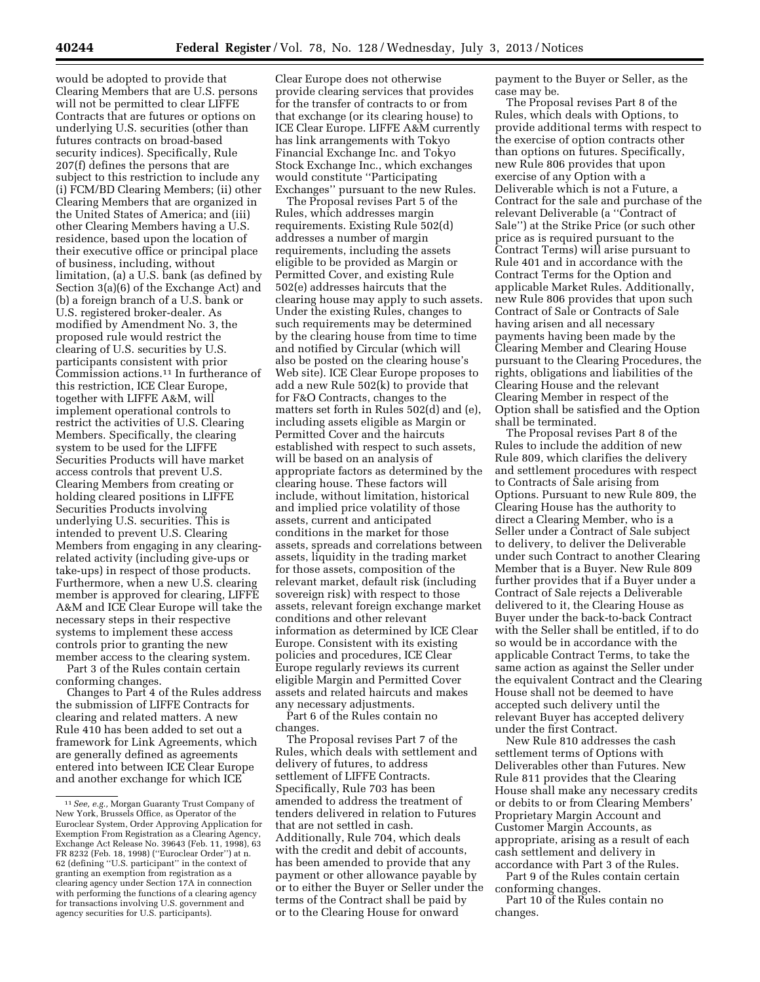would be adopted to provide that Clearing Members that are U.S. persons will not be permitted to clear LIFFE Contracts that are futures or options on underlying U.S. securities (other than futures contracts on broad-based security indices). Specifically, Rule 207(f) defines the persons that are subject to this restriction to include any (i) FCM/BD Clearing Members; (ii) other Clearing Members that are organized in the United States of America; and (iii) other Clearing Members having a U.S. residence, based upon the location of their executive office or principal place of business, including, without limitation, (a) a U.S. bank (as defined by Section 3(a)(6) of the Exchange Act) and (b) a foreign branch of a U.S. bank or U.S. registered broker-dealer. As modified by Amendment No. 3, the proposed rule would restrict the clearing of U.S. securities by U.S. participants consistent with prior Commission actions.11 In furtherance of this restriction, ICE Clear Europe, together with LIFFE A&M, will implement operational controls to restrict the activities of U.S. Clearing Members. Specifically, the clearing system to be used for the LIFFE Securities Products will have market access controls that prevent U.S. Clearing Members from creating or holding cleared positions in LIFFE Securities Products involving underlying U.S. securities. This is intended to prevent U.S. Clearing Members from engaging in any clearingrelated activity (including give-ups or take-ups) in respect of those products. Furthermore, when a new U.S. clearing member is approved for clearing, LIFFE A&M and ICE Clear Europe will take the necessary steps in their respective systems to implement these access controls prior to granting the new member access to the clearing system.

Part 3 of the Rules contain certain conforming changes.

Changes to Part 4 of the Rules address the submission of LIFFE Contracts for clearing and related matters. A new Rule 410 has been added to set out a framework for Link Agreements, which are generally defined as agreements entered into between ICE Clear Europe and another exchange for which ICE

Clear Europe does not otherwise provide clearing services that provides for the transfer of contracts to or from that exchange (or its clearing house) to ICE Clear Europe. LIFFE A&M currently has link arrangements with Tokyo Financial Exchange Inc. and Tokyo Stock Exchange Inc., which exchanges would constitute ''Participating Exchanges'' pursuant to the new Rules.

The Proposal revises Part 5 of the Rules, which addresses margin requirements. Existing Rule 502(d) addresses a number of margin requirements, including the assets eligible to be provided as Margin or Permitted Cover, and existing Rule 502(e) addresses haircuts that the clearing house may apply to such assets. Under the existing Rules, changes to such requirements may be determined by the clearing house from time to time and notified by Circular (which will also be posted on the clearing house's Web site). ICE Clear Europe proposes to add a new Rule 502(k) to provide that for F&O Contracts, changes to the matters set forth in Rules 502(d) and (e), including assets eligible as Margin or Permitted Cover and the haircuts established with respect to such assets, will be based on an analysis of appropriate factors as determined by the clearing house. These factors will include, without limitation, historical and implied price volatility of those assets, current and anticipated conditions in the market for those assets, spreads and correlations between assets, liquidity in the trading market for those assets, composition of the relevant market, default risk (including sovereign risk) with respect to those assets, relevant foreign exchange market conditions and other relevant information as determined by ICE Clear Europe. Consistent with its existing policies and procedures, ICE Clear Europe regularly reviews its current eligible Margin and Permitted Cover assets and related haircuts and makes any necessary adjustments.

Part 6 of the Rules contain no changes.

The Proposal revises Part 7 of the Rules, which deals with settlement and delivery of futures, to address settlement of LIFFE Contracts. Specifically, Rule 703 has been amended to address the treatment of tenders delivered in relation to Futures that are not settled in cash. Additionally, Rule 704, which deals with the credit and debit of accounts, has been amended to provide that any payment or other allowance payable by or to either the Buyer or Seller under the terms of the Contract shall be paid by or to the Clearing House for onward

payment to the Buyer or Seller, as the case may be.

The Proposal revises Part 8 of the Rules, which deals with Options, to provide additional terms with respect to the exercise of option contracts other than options on futures. Specifically, new Rule 806 provides that upon exercise of any Option with a Deliverable which is not a Future, a Contract for the sale and purchase of the relevant Deliverable (a ''Contract of Sale'') at the Strike Price (or such other price as is required pursuant to the Contract Terms) will arise pursuant to Rule 401 and in accordance with the Contract Terms for the Option and applicable Market Rules. Additionally, new Rule 806 provides that upon such Contract of Sale or Contracts of Sale having arisen and all necessary payments having been made by the Clearing Member and Clearing House pursuant to the Clearing Procedures, the rights, obligations and liabilities of the Clearing House and the relevant Clearing Member in respect of the Option shall be satisfied and the Option shall be terminated.

The Proposal revises Part 8 of the Rules to include the addition of new Rule 809, which clarifies the delivery and settlement procedures with respect to Contracts of Sale arising from Options. Pursuant to new Rule 809, the Clearing House has the authority to direct a Clearing Member, who is a Seller under a Contract of Sale subject to delivery, to deliver the Deliverable under such Contract to another Clearing Member that is a Buyer. New Rule 809 further provides that if a Buyer under a Contract of Sale rejects a Deliverable delivered to it, the Clearing House as Buyer under the back-to-back Contract with the Seller shall be entitled, if to do so would be in accordance with the applicable Contract Terms, to take the same action as against the Seller under the equivalent Contract and the Clearing House shall not be deemed to have accepted such delivery until the relevant Buyer has accepted delivery under the first Contract.

New Rule 810 addresses the cash settlement terms of Options with Deliverables other than Futures. New Rule 811 provides that the Clearing House shall make any necessary credits or debits to or from Clearing Members' Proprietary Margin Account and Customer Margin Accounts, as appropriate, arising as a result of each cash settlement and delivery in accordance with Part 3 of the Rules.

Part 9 of the Rules contain certain conforming changes.

Part 10 of the Rules contain no changes.

<sup>11</sup>*See, e.g.,* Morgan Guaranty Trust Company of New York, Brussels Office, as Operator of the Euroclear System, Order Approving Application for Exemption From Registration as a Clearing Agency, Exchange Act Release No. 39643 (Feb. 11, 1998), 63 FR 8232 (Feb. 18, 1998) (''Euroclear Order'') at n. 62 (defining ''U.S. participant'' in the context of granting an exemption from registration as a clearing agency under Section 17A in connection with performing the functions of a clearing agency for transactions involving U.S. government and agency securities for U.S. participants).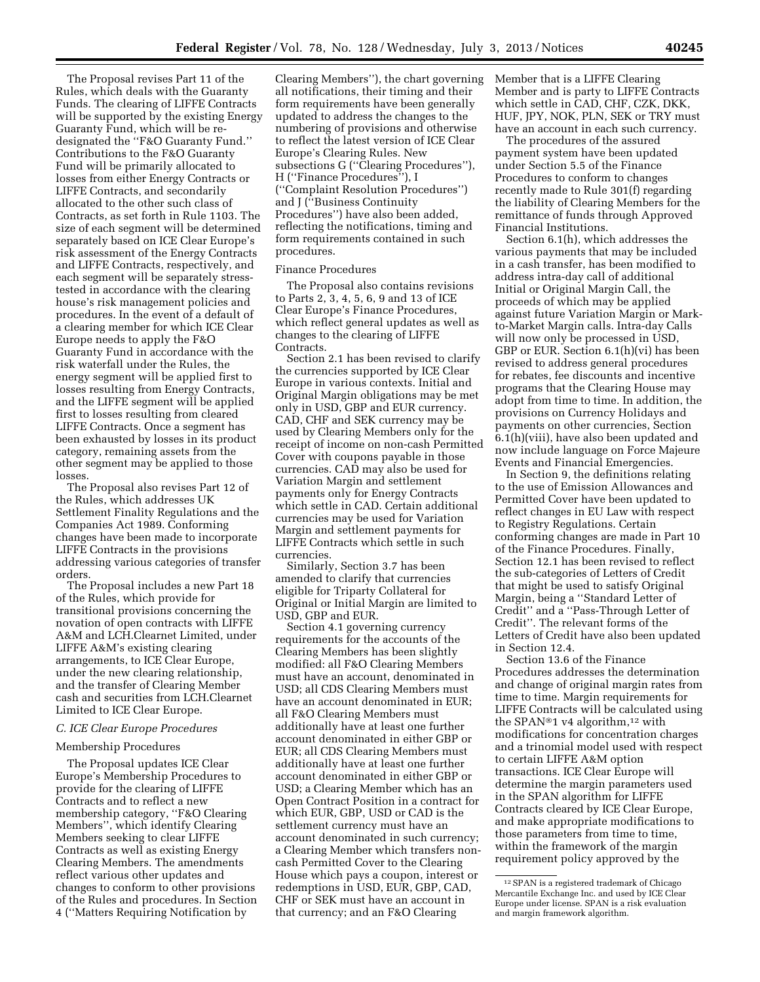The Proposal revises Part 11 of the Rules, which deals with the Guaranty Funds. The clearing of LIFFE Contracts will be supported by the existing Energy Guaranty Fund, which will be redesignated the ''F&O Guaranty Fund.'' Contributions to the F&O Guaranty Fund will be primarily allocated to losses from either Energy Contracts or LIFFE Contracts, and secondarily allocated to the other such class of Contracts, as set forth in Rule 1103. The size of each segment will be determined separately based on ICE Clear Europe's risk assessment of the Energy Contracts and LIFFE Contracts, respectively, and each segment will be separately stresstested in accordance with the clearing house's risk management policies and procedures. In the event of a default of a clearing member for which ICE Clear Europe needs to apply the F&O Guaranty Fund in accordance with the risk waterfall under the Rules, the energy segment will be applied first to losses resulting from Energy Contracts, and the LIFFE segment will be applied first to losses resulting from cleared LIFFE Contracts. Once a segment has been exhausted by losses in its product category, remaining assets from the other segment may be applied to those losses.

The Proposal also revises Part 12 of the Rules, which addresses UK Settlement Finality Regulations and the Companies Act 1989. Conforming changes have been made to incorporate LIFFE Contracts in the provisions addressing various categories of transfer orders.

The Proposal includes a new Part 18 of the Rules, which provide for transitional provisions concerning the novation of open contracts with LIFFE A&M and LCH.Clearnet Limited, under LIFFE A&M's existing clearing arrangements, to ICE Clear Europe, under the new clearing relationship, and the transfer of Clearing Member cash and securities from LCH.Clearnet Limited to ICE Clear Europe.

#### *C. ICE Clear Europe Procedures*

## Membership Procedures

The Proposal updates ICE Clear Europe's Membership Procedures to provide for the clearing of LIFFE Contracts and to reflect a new membership category, ''F&O Clearing Members'', which identify Clearing Members seeking to clear LIFFE Contracts as well as existing Energy Clearing Members. The amendments reflect various other updates and changes to conform to other provisions of the Rules and procedures. In Section 4 (''Matters Requiring Notification by

Clearing Members''), the chart governing all notifications, their timing and their form requirements have been generally updated to address the changes to the numbering of provisions and otherwise to reflect the latest version of ICE Clear Europe's Clearing Rules. New subsections G (''Clearing Procedures''), H (''Finance Procedures''), I (''Complaint Resolution Procedures'') and J (''Business Continuity Procedures'') have also been added, reflecting the notifications, timing and form requirements contained in such procedures.

#### Finance Procedures

The Proposal also contains revisions to Parts 2, 3, 4, 5, 6, 9 and 13 of ICE Clear Europe's Finance Procedures, which reflect general updates as well as changes to the clearing of LIFFE Contracts.

Section 2.1 has been revised to clarify the currencies supported by ICE Clear Europe in various contexts. Initial and Original Margin obligations may be met only in USD, GBP and EUR currency. CAD, CHF and SEK currency may be used by Clearing Members only for the receipt of income on non-cash Permitted Cover with coupons payable in those currencies. CAD may also be used for Variation Margin and settlement payments only for Energy Contracts which settle in CAD. Certain additional currencies may be used for Variation Margin and settlement payments for LIFFE Contracts which settle in such currencies.

Similarly, Section 3.7 has been amended to clarify that currencies eligible for Triparty Collateral for Original or Initial Margin are limited to USD, GBP and EUR.

Section 4.1 governing currency requirements for the accounts of the Clearing Members has been slightly modified: all F&O Clearing Members must have an account, denominated in USD; all CDS Clearing Members must have an account denominated in EUR; all F&O Clearing Members must additionally have at least one further account denominated in either GBP or EUR; all CDS Clearing Members must additionally have at least one further account denominated in either GBP or USD; a Clearing Member which has an Open Contract Position in a contract for which EUR, GBP, USD or CAD is the settlement currency must have an account denominated in such currency; a Clearing Member which transfers noncash Permitted Cover to the Clearing House which pays a coupon, interest or redemptions in USD, EUR, GBP, CAD, CHF or SEK must have an account in that currency; and an F&O Clearing

Member that is a LIFFE Clearing Member and is party to LIFFE Contracts which settle in CAD, CHF, CZK, DKK, HUF, JPY, NOK, PLN, SEK or TRY must have an account in each such currency.

The procedures of the assured payment system have been updated under Section 5.5 of the Finance Procedures to conform to changes recently made to Rule 301(f) regarding the liability of Clearing Members for the remittance of funds through Approved Financial Institutions.

Section 6.1(h), which addresses the various payments that may be included in a cash transfer, has been modified to address intra-day call of additional Initial or Original Margin Call, the proceeds of which may be applied against future Variation Margin or Markto-Market Margin calls. Intra-day Calls will now only be processed in USD, GBP or EUR. Section 6.1(h)(vi) has been revised to address general procedures for rebates, fee discounts and incentive programs that the Clearing House may adopt from time to time. In addition, the provisions on Currency Holidays and payments on other currencies, Section 6.1(h)(viii), have also been updated and now include language on Force Majeure Events and Financial Emergencies.

In Section 9, the definitions relating to the use of Emission Allowances and Permitted Cover have been updated to reflect changes in EU Law with respect to Registry Regulations. Certain conforming changes are made in Part 10 of the Finance Procedures. Finally, Section 12.1 has been revised to reflect the sub-categories of Letters of Credit that might be used to satisfy Original Margin, being a ''Standard Letter of Credit'' and a ''Pass-Through Letter of Credit''. The relevant forms of the Letters of Credit have also been updated in Section 12.4.

Section 13.6 of the Finance Procedures addresses the determination and change of original margin rates from time to time. Margin requirements for LIFFE Contracts will be calculated using the SPAN®1 v4 algorithm,<sup>12</sup> with modifications for concentration charges and a trinomial model used with respect to certain LIFFE A&M option transactions. ICE Clear Europe will determine the margin parameters used in the SPAN algorithm for LIFFE Contracts cleared by ICE Clear Europe, and make appropriate modifications to those parameters from time to time, within the framework of the margin requirement policy approved by the

<sup>12</sup>SPAN is a registered trademark of Chicago Mercantile Exchange Inc. and used by ICE Clear Europe under license. SPAN is a risk evaluation and margin framework algorithm.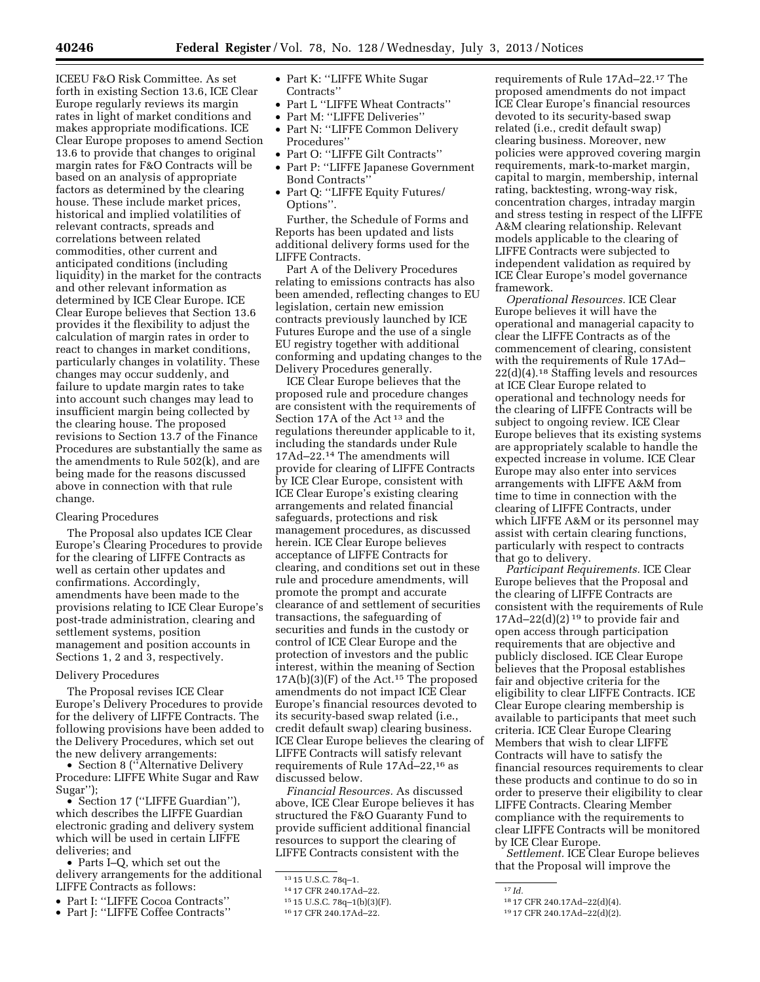ICEEU F&O Risk Committee. As set forth in existing Section 13.6, ICE Clear Europe regularly reviews its margin rates in light of market conditions and makes appropriate modifications. ICE Clear Europe proposes to amend Section 13.6 to provide that changes to original margin rates for F&O Contracts will be based on an analysis of appropriate factors as determined by the clearing house. These include market prices, historical and implied volatilities of relevant contracts, spreads and correlations between related commodities, other current and anticipated conditions (including liquidity) in the market for the contracts and other relevant information as determined by ICE Clear Europe. ICE Clear Europe believes that Section 13.6 provides it the flexibility to adjust the calculation of margin rates in order to react to changes in market conditions, particularly changes in volatility. These changes may occur suddenly, and failure to update margin rates to take into account such changes may lead to insufficient margin being collected by the clearing house. The proposed revisions to Section 13.7 of the Finance Procedures are substantially the same as the amendments to Rule 502(k), and are being made for the reasons discussed above in connection with that rule change.

# Clearing Procedures

The Proposal also updates ICE Clear Europe's Clearing Procedures to provide for the clearing of LIFFE Contracts as well as certain other updates and confirmations. Accordingly, amendments have been made to the provisions relating to ICE Clear Europe's post-trade administration, clearing and settlement systems, position management and position accounts in Sections 1, 2 and 3, respectively.

# Delivery Procedures

The Proposal revises ICE Clear Europe's Delivery Procedures to provide for the delivery of LIFFE Contracts. The following provisions have been added to the Delivery Procedures, which set out the new delivery arrangements:

• Section 8 ("Alternative Delivery Procedure: LIFFE White Sugar and Raw Sugar'');

• Section 17 ("LIFFE Guardian"), which describes the LIFFE Guardian electronic grading and delivery system which will be used in certain LIFFE deliveries; and

• Parts I–Q, which set out the delivery arrangements for the additional LIFFE Contracts as follows:

- Part I: ''LIFFE Cocoa Contracts''
- Part J: ''LIFFE Coffee Contracts''
- Part K: ''LIFFE White Sugar Contracts''
- Part L ''LIFFE Wheat Contracts''
- Part M: ''LIFFE Deliveries''
- Part N: ''LIFFE Common Delivery Procedures''
- Part O: "LIFFE Gilt Contracts"
- Part P: ''LIFFE Japanese Government Bond Contracts''
- Part Q: "LIFFE Equity Futures/ Options''.

Further, the Schedule of Forms and Reports has been updated and lists additional delivery forms used for the LIFFE Contracts.

Part A of the Delivery Procedures relating to emissions contracts has also been amended, reflecting changes to EU legislation, certain new emission contracts previously launched by ICE Futures Europe and the use of a single EU registry together with additional conforming and updating changes to the Delivery Procedures generally.

ICE Clear Europe believes that the proposed rule and procedure changes are consistent with the requirements of Section 17A of the Act 13 and the regulations thereunder applicable to it, including the standards under Rule 17Ad–22.14 The amendments will provide for clearing of LIFFE Contracts by ICE Clear Europe, consistent with ICE Clear Europe's existing clearing arrangements and related financial safeguards, protections and risk management procedures, as discussed herein. ICE Clear Europe believes acceptance of LIFFE Contracts for clearing, and conditions set out in these rule and procedure amendments, will promote the prompt and accurate clearance of and settlement of securities transactions, the safeguarding of securities and funds in the custody or control of ICE Clear Europe and the protection of investors and the public interest, within the meaning of Section  $17A(b)(3)(F)$  of the Act.<sup>15</sup> The proposed amendments do not impact ICE Clear Europe's financial resources devoted to its security-based swap related (i.e., credit default swap) clearing business. ICE Clear Europe believes the clearing of LIFFE Contracts will satisfy relevant requirements of Rule 17Ad–22,16 as discussed below.

*Financial Resources.* As discussed above, ICE Clear Europe believes it has structured the F&O Guaranty Fund to provide sufficient additional financial resources to support the clearing of LIFFE Contracts consistent with the

15 15 U.S.C. 78q–1(b)(3)(F).

requirements of Rule 17Ad–22.17 The proposed amendments do not impact ICE Clear Europe's financial resources devoted to its security-based swap related (i.e., credit default swap) clearing business. Moreover, new policies were approved covering margin requirements, mark-to-market margin, capital to margin, membership, internal rating, backtesting, wrong-way risk, concentration charges, intraday margin and stress testing in respect of the LIFFE A&M clearing relationship. Relevant models applicable to the clearing of LIFFE Contracts were subjected to independent validation as required by ICE Clear Europe's model governance framework.

*Operational Resources.* ICE Clear Europe believes it will have the operational and managerial capacity to clear the LIFFE Contracts as of the commencement of clearing, consistent with the requirements of Rule 17Ad– 22(d)(4).18 Staffing levels and resources at ICE Clear Europe related to operational and technology needs for the clearing of LIFFE Contracts will be subject to ongoing review. ICE Clear Europe believes that its existing systems are appropriately scalable to handle the expected increase in volume. ICE Clear Europe may also enter into services arrangements with LIFFE A&M from time to time in connection with the clearing of LIFFE Contracts, under which LIFFE A&M or its personnel may assist with certain clearing functions, particularly with respect to contracts that go to delivery.

*Participant Requirements.* ICE Clear Europe believes that the Proposal and the clearing of LIFFE Contracts are consistent with the requirements of Rule 17Ad–22(d)(2)<sup>19</sup> to provide fair and open access through participation requirements that are objective and publicly disclosed. ICE Clear Europe believes that the Proposal establishes fair and objective criteria for the eligibility to clear LIFFE Contracts. ICE Clear Europe clearing membership is available to participants that meet such criteria. ICE Clear Europe Clearing Members that wish to clear LIFFE Contracts will have to satisfy the financial resources requirements to clear these products and continue to do so in order to preserve their eligibility to clear LIFFE Contracts. Clearing Member compliance with the requirements to clear LIFFE Contracts will be monitored by ICE Clear Europe.

*Settlement.* ICE Clear Europe believes that the Proposal will improve the

<sup>13</sup> 15 U.S.C. 78q–1.

<sup>14</sup> 17 CFR 240.17Ad–22.

<sup>16</sup> 17 CFR 240.17Ad–22.

<sup>17</sup> *Id.* 

<sup>18</sup> 17 CFR 240.17Ad–22(d)(4).

<sup>19</sup> 17 CFR 240.17Ad–22(d)(2).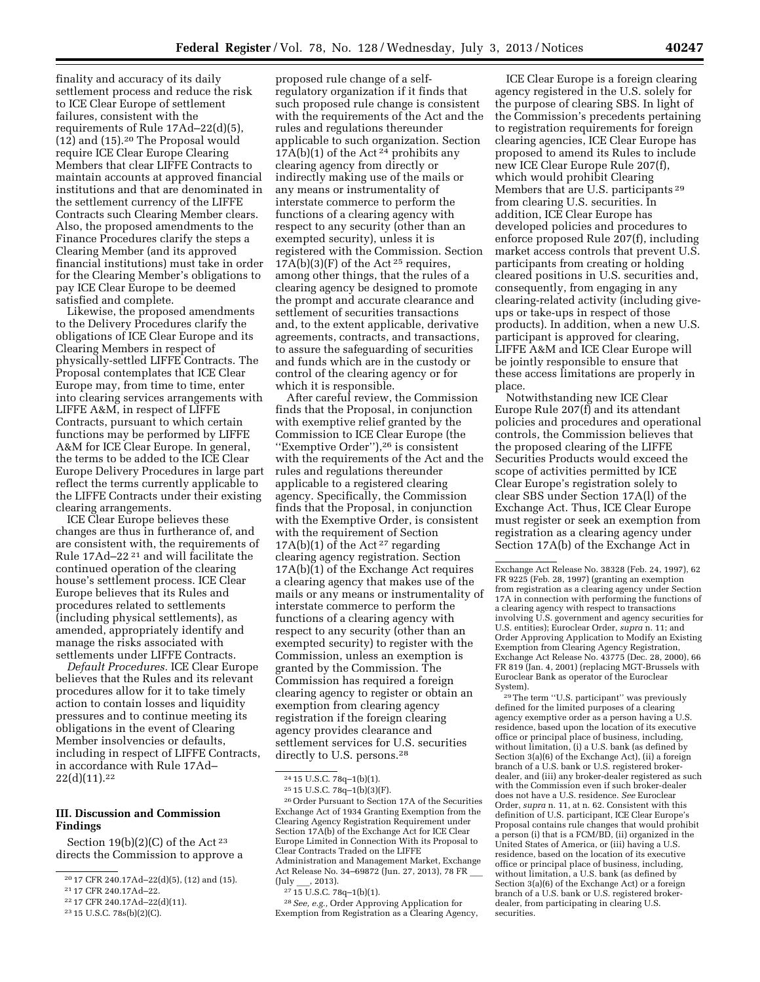finality and accuracy of its daily settlement process and reduce the risk to ICE Clear Europe of settlement failures, consistent with the requirements of Rule 17Ad–22(d)(5), (12) and (15).20 The Proposal would require ICE Clear Europe Clearing Members that clear LIFFE Contracts to maintain accounts at approved financial institutions and that are denominated in the settlement currency of the LIFFE Contracts such Clearing Member clears. Also, the proposed amendments to the Finance Procedures clarify the steps a Clearing Member (and its approved financial institutions) must take in order for the Clearing Member's obligations to pay ICE Clear Europe to be deemed satisfied and complete.

Likewise, the proposed amendments to the Delivery Procedures clarify the obligations of ICE Clear Europe and its Clearing Members in respect of physically-settled LIFFE Contracts. The Proposal contemplates that ICE Clear Europe may, from time to time, enter into clearing services arrangements with LIFFE A&M, in respect of LIFFE Contracts, pursuant to which certain functions may be performed by LIFFE A&M for ICE Clear Europe. In general, the terms to be added to the ICE Clear Europe Delivery Procedures in large part reflect the terms currently applicable to the LIFFE Contracts under their existing clearing arrangements.

ICE Clear Europe believes these changes are thus in furtherance of, and are consistent with, the requirements of Rule 17Ad–22 21 and will facilitate the continued operation of the clearing house's settlement process. ICE Clear Europe believes that its Rules and procedures related to settlements (including physical settlements), as amended, appropriately identify and manage the risks associated with settlements under LIFFE Contracts.

*Default Procedures.* ICE Clear Europe believes that the Rules and its relevant procedures allow for it to take timely action to contain losses and liquidity pressures and to continue meeting its obligations in the event of Clearing Member insolvencies or defaults, including in respect of LIFFE Contracts, in accordance with Rule 17Ad– 22(d)(11).22

### **III. Discussion and Commission Findings**

Section  $19(b)(2)(C)$  of the Act<sup>23</sup> directs the Commission to approve a

22 17 CFR 240.17Ad–22(d)(11).

proposed rule change of a selfregulatory organization if it finds that such proposed rule change is consistent with the requirements of the Act and the rules and regulations thereunder applicable to such organization. Section  $17A(b)(1)$  of the Act<sup>24</sup> prohibits any clearing agency from directly or indirectly making use of the mails or any means or instrumentality of interstate commerce to perform the functions of a clearing agency with respect to any security (other than an exempted security), unless it is registered with the Commission. Section  $17A(b)(3)(F)$  of the Act<sup>25</sup> requires, among other things, that the rules of a clearing agency be designed to promote the prompt and accurate clearance and settlement of securities transactions and, to the extent applicable, derivative agreements, contracts, and transactions, to assure the safeguarding of securities and funds which are in the custody or control of the clearing agency or for which it is responsible.

After careful review, the Commission finds that the Proposal, in conjunction with exemptive relief granted by the Commission to ICE Clear Europe (the ''Exemptive Order''),26 is consistent with the requirements of the Act and the rules and regulations thereunder applicable to a registered clearing agency. Specifically, the Commission finds that the Proposal, in conjunction with the Exemptive Order, is consistent with the requirement of Section  $17A(b)(1)$  of the Act<sup>27</sup> regarding clearing agency registration. Section 17A(b)(1) of the Exchange Act requires a clearing agency that makes use of the mails or any means or instrumentality of interstate commerce to perform the functions of a clearing agency with respect to any security (other than an exempted security) to register with the Commission, unless an exemption is granted by the Commission. The Commission has required a foreign clearing agency to register or obtain an exemption from clearing agency registration if the foreign clearing agency provides clearance and settlement services for U.S. securities directly to U.S. persons.28

26Order Pursuant to Section 17A of the Securities Exchange Act of 1934 Granting Exemption from the Clearing Agency Registration Requirement under Section 17A(b) of the Exchange Act for ICE Clear Europe Limited in Connection With its Proposal to Clear Contracts Traded on the LIFFE Administration and Management Market, Exchange Act Release No. 34–69872 (Jun. 27, 2013), 78 FR  $(\mathrm{July} \qquad , 2013).$ 

28*See, e.g.,* Order Approving Application for Exemption from Registration as a Clearing Agency,

ICE Clear Europe is a foreign clearing agency registered in the U.S. solely for the purpose of clearing SBS. In light of the Commission's precedents pertaining to registration requirements for foreign clearing agencies, ICE Clear Europe has proposed to amend its Rules to include new ICE Clear Europe Rule 207(f), which would prohibit Clearing Members that are U.S. participants<sup>29</sup> from clearing U.S. securities. In addition, ICE Clear Europe has developed policies and procedures to enforce proposed Rule 207(f), including market access controls that prevent U.S. participants from creating or holding cleared positions in U.S. securities and, consequently, from engaging in any clearing-related activity (including giveups or take-ups in respect of those products). In addition, when a new U.S. participant is approved for clearing, LIFFE A&M and ICE Clear Europe will be jointly responsible to ensure that these access limitations are properly in place.

Notwithstanding new ICE Clear Europe Rule 207(f) and its attendant policies and procedures and operational controls, the Commission believes that the proposed clearing of the LIFFE Securities Products would exceed the scope of activities permitted by ICE Clear Europe's registration solely to clear SBS under Section 17A(l) of the Exchange Act. Thus, ICE Clear Europe must register or seek an exemption from registration as a clearing agency under Section 17A(b) of the Exchange Act in

29The term ''U.S. participant'' was previously defined for the limited purposes of a clearing agency exemptive order as a person having a U.S. residence, based upon the location of its executive office or principal place of business, including, without limitation, (i) a U.S. bank (as defined by Section 3(a)(6) of the Exchange Act), (ii) a foreign branch of a U.S. bank or U.S. registered brokerdealer, and (iii) any broker-dealer registered as such with the Commission even if such broker-dealer does not have a U.S. residence. *See* Euroclear Order, *supra* n. 11, at n. 62. Consistent with this definition of U.S. participant, ICE Clear Europe's Proposal contains rule changes that would prohibit a person (i) that is a FCM/BD, (ii) organized in the United States of America, or (iii) having a U.S. residence, based on the location of its executive office or principal place of business, including, without limitation, a U.S. bank (as defined by Section 3(a)(6) of the Exchange Act) or a foreign branch of a U.S. bank or U.S. registered brokerdealer, from participating in clearing U.S. securities.

<sup>20</sup> 17 CFR 240.17Ad–22(d)(5), (12) and (15).

<sup>21</sup> 17 CFR 240.17Ad–22.

<sup>23</sup> 15 U.S.C. 78s(b)(2)(C).

<sup>24</sup> 15 U.S.C. 78q–1(b)(1).

<sup>25</sup> 15 U.S.C. 78q–1(b)(3)(F).

<sup>27</sup> 15 U.S.C. 78q–1(b)(1).

Exchange Act Release No. 38328 (Feb. 24, 1997), 62 FR 9225 (Feb. 28, 1997) (granting an exemption from registration as a clearing agency under Section 17A in connection with performing the functions of a clearing agency with respect to transactions involving U.S. government and agency securities for U.S. entities); Euroclear Order, *supra* n. 11; and Order Approving Application to Modify an Existing Exemption from Clearing Agency Registration, Exchange Act Release No. 43775 (Dec. 28, 2000), 66 FR 819 (Jan. 4, 2001) (replacing MGT-Brussels with Euroclear Bank as operator of the Euroclear System).